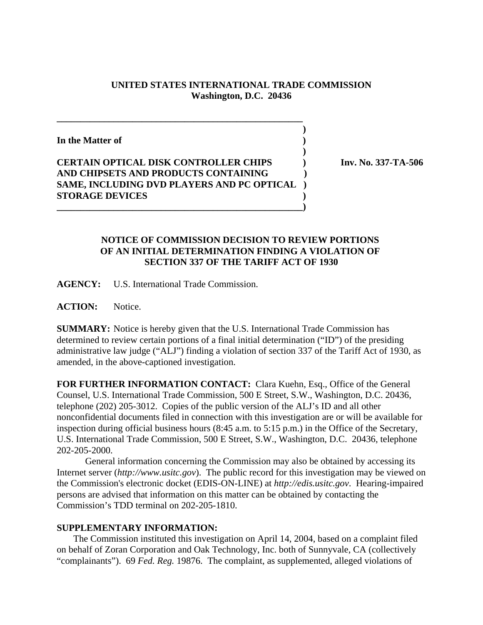## **UNITED STATES INTERNATIONAL TRADE COMMISSION Washington, D.C. 20436**

 **) In the Matter of ) ) CERTAIN OPTICAL DISK CONTROLLER CHIPS ) Inv. No. 337-TA-506 AND CHIPSETS AND PRODUCTS CONTAINING ) SAME, INCLUDING DVD PLAYERS AND PC OPTICAL ) STORAGE DEVICES ) \_\_\_\_\_\_\_\_\_\_\_\_\_\_\_\_\_\_\_\_\_\_\_\_\_\_\_\_\_\_\_\_\_\_\_\_\_\_\_\_\_\_\_\_\_\_\_\_\_\_\_\_)**

**\_\_\_\_\_\_\_\_\_\_\_\_\_\_\_\_\_\_\_\_\_\_\_\_\_\_\_\_\_\_\_\_\_\_\_\_\_\_\_\_\_\_\_\_\_\_\_\_\_\_\_\_**

## **NOTICE OF COMMISSION DECISION TO REVIEW PORTIONS OF AN INITIAL DETERMINATION FINDING A VIOLATION OF SECTION 337 OF THE TARIFF ACT OF 1930**

**AGENCY:** U.S. International Trade Commission.

**ACTION:** Notice.

**SUMMARY:** Notice is hereby given that the U.S. International Trade Commission has determined to review certain portions of a final initial determination ("ID") of the presiding administrative law judge ("ALJ") finding a violation of section 337 of the Tariff Act of 1930, as amended, in the above-captioned investigation.

**FOR FURTHER INFORMATION CONTACT:** Clara Kuehn, Esq., Office of the General Counsel, U.S. International Trade Commission, 500 E Street, S.W., Washington, D.C. 20436, telephone (202) 205-3012. Copies of the public version of the ALJ's ID and all other nonconfidential documents filed in connection with this investigation are or will be available for inspection during official business hours (8:45 a.m. to 5:15 p.m.) in the Office of the Secretary, U.S. International Trade Commission, 500 E Street, S.W., Washington, D.C. 20436, telephone 202-205-2000.

General information concerning the Commission may also be obtained by accessing its Internet server (*http://www.usitc.gov*). The public record for this investigation may be viewed on the Commission's electronic docket (EDIS-ON-LINE) at *http://edis.usitc.gov*. Hearing-impaired persons are advised that information on this matter can be obtained by contacting the Commission's TDD terminal on 202-205-1810.

## **SUPPLEMENTARY INFORMATION:**

 The Commission instituted this investigation on April 14, 2004, based on a complaint filed on behalf of Zoran Corporation and Oak Technology, Inc. both of Sunnyvale, CA (collectively "complainants"). 69 *Fed. Reg.* 19876. The complaint, as supplemented, alleged violations of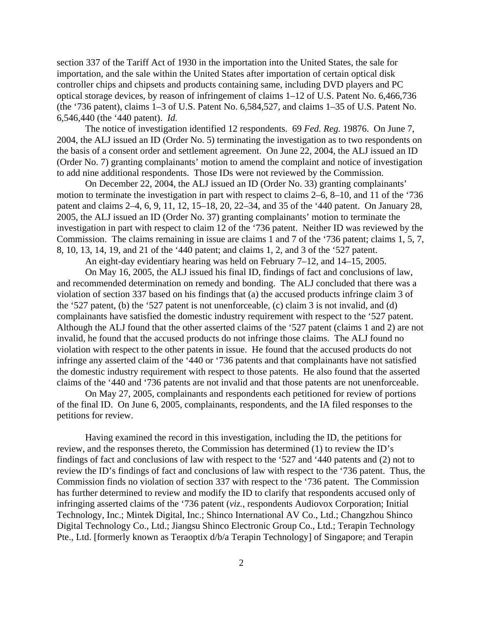section 337 of the Tariff Act of 1930 in the importation into the United States, the sale for importation, and the sale within the United States after importation of certain optical disk controller chips and chipsets and products containing same, including DVD players and PC optical storage devices, by reason of infringement of claims 1–12 of U.S. Patent No. 6,466,736 (the '736 patent), claims 1–3 of U.S. Patent No. 6,584,527, and claims 1–35 of U.S. Patent No. 6,546,440 (the '440 patent). *Id.*

The notice of investigation identified 12 respondents. 69 *Fed. Reg.* 19876. On June 7, 2004, the ALJ issued an ID (Order No. 5) terminating the investigation as to two respondents on the basis of a consent order and settlement agreement. On June 22, 2004, the ALJ issued an ID (Order No. 7) granting complainants' motion to amend the complaint and notice of investigation to add nine additional respondents. Those IDs were not reviewed by the Commission.

 On December 22, 2004, the ALJ issued an ID (Order No. 33) granting complainants' motion to terminate the investigation in part with respect to claims 2–6, 8–10, and 11 of the '736 patent and claims 2–4, 6, 9, 11, 12, 15–18, 20, 22–34, and 35 of the '440 patent. On January 28, 2005, the ALJ issued an ID (Order No. 37) granting complainants' motion to terminate the investigation in part with respect to claim 12 of the '736 patent. Neither ID was reviewed by the Commission. The claims remaining in issue are claims 1 and 7 of the '736 patent; claims 1, 5, 7, 8, 10, 13, 14, 19, and 21 of the '440 patent; and claims 1, 2, and 3 of the '527 patent.

An eight-day evidentiary hearing was held on February 7–12, and 14–15, 2005.

On May 16, 2005, the ALJ issued his final ID, findings of fact and conclusions of law, and recommended determination on remedy and bonding. The ALJ concluded that there was a violation of section 337 based on his findings that (a) the accused products infringe claim 3 of the '527 patent, (b) the '527 patent is not unenforceable, (c) claim 3 is not invalid, and (d) complainants have satisfied the domestic industry requirement with respect to the '527 patent. Although the ALJ found that the other asserted claims of the '527 patent (claims 1 and 2) are not invalid, he found that the accused products do not infringe those claims. The ALJ found no violation with respect to the other patents in issue. He found that the accused products do not infringe any asserted claim of the '440 or '736 patents and that complainants have not satisfied the domestic industry requirement with respect to those patents. He also found that the asserted claims of the '440 and '736 patents are not invalid and that those patents are not unenforceable.

On May 27, 2005, complainants and respondents each petitioned for review of portions of the final ID. On June 6, 2005, complainants, respondents, and the IA filed responses to the petitions for review.

Having examined the record in this investigation, including the ID, the petitions for review, and the responses thereto, the Commission has determined (1) to review the ID's findings of fact and conclusions of law with respect to the '527 and '440 patents and (2) not to review the ID's findings of fact and conclusions of law with respect to the '736 patent. Thus, the Commission finds no violation of section 337 with respect to the '736 patent. The Commission has further determined to review and modify the ID to clarify that respondents accused only of infringing asserted claims of the '736 patent (*viz.*, respondents Audiovox Corporation; Initial Technology, Inc.; Mintek Digital, Inc.; Shinco International AV Co., Ltd.; Changzhou Shinco Digital Technology Co., Ltd.; Jiangsu Shinco Electronic Group Co., Ltd.; Terapin Technology Pte., Ltd. [formerly known as Teraoptix d/b/a Terapin Technology] of Singapore; and Terapin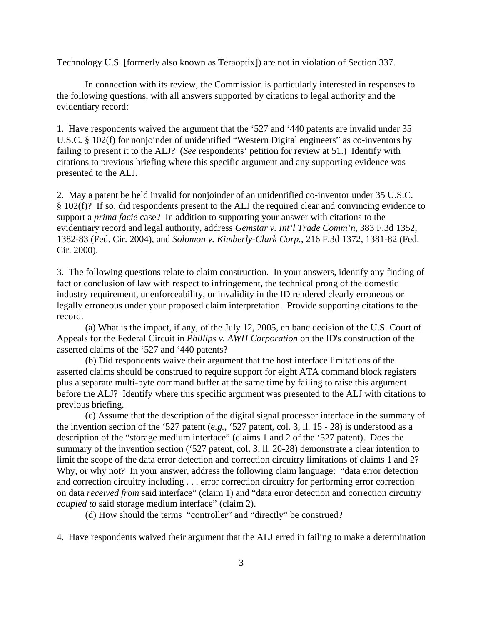Technology U.S. [formerly also known as Teraoptix]) are not in violation of Section 337.

In connection with its review, the Commission is particularly interested in responses to the following questions, with all answers supported by citations to legal authority and the evidentiary record:

1. Have respondents waived the argument that the '527 and '440 patents are invalid under 35 U.S.C. § 102(f) for nonjoinder of unidentified "Western Digital engineers" as co-inventors by failing to present it to the ALJ? (*See* respondents' petition for review at 51.) Identify with citations to previous briefing where this specific argument and any supporting evidence was presented to the ALJ.

2. May a patent be held invalid for nonjoinder of an unidentified co-inventor under 35 U.S.C. § 102(f)? If so, did respondents present to the ALJ the required clear and convincing evidence to support a *prima facie* case? In addition to supporting your answer with citations to the evidentiary record and legal authority, address *Gemstar v. Int'l Trade Comm'n*, 383 F.3d 1352, 1382-83 (Fed. Cir. 2004), and *Solomon v. Kimberly-Clark Corp.*, 216 F.3d 1372, 1381-82 (Fed. Cir. 2000).

3. The following questions relate to claim construction. In your answers, identify any finding of fact or conclusion of law with respect to infringement, the technical prong of the domestic industry requirement, unenforceability, or invalidity in the ID rendered clearly erroneous or legally erroneous under your proposed claim interpretation. Provide supporting citations to the record.

(a) What is the impact, if any, of the July 12, 2005, en banc decision of the U.S. Court of Appeals for the Federal Circuit in *Phillips v. AWH Corporation* on the ID's construction of the asserted claims of the '527 and '440 patents?

(b) Did respondents waive their argument that the host interface limitations of the asserted claims should be construed to require support for eight ATA command block registers plus a separate multi-byte command buffer at the same time by failing to raise this argument before the ALJ? Identify where this specific argument was presented to the ALJ with citations to previous briefing.

(c) Assume that the description of the digital signal processor interface in the summary of the invention section of the '527 patent (*e.g.*, '527 patent, col. 3, ll. 15 - 28) is understood as a description of the "storage medium interface" (claims 1 and 2 of the '527 patent). Does the summary of the invention section ('527 patent, col. 3, ll. 20-28) demonstrate a clear intention to limit the scope of the data error detection and correction circuitry limitations of claims 1 and 2? Why, or why not? In your answer, address the following claim language: "data error detection and correction circuitry including . . . error correction circuitry for performing error correction on data *received from* said interface" (claim 1) and "data error detection and correction circuitry *coupled to* said storage medium interface" (claim 2).

(d) How should the terms "controller" and "directly" be construed?

4. Have respondents waived their argument that the ALJ erred in failing to make a determination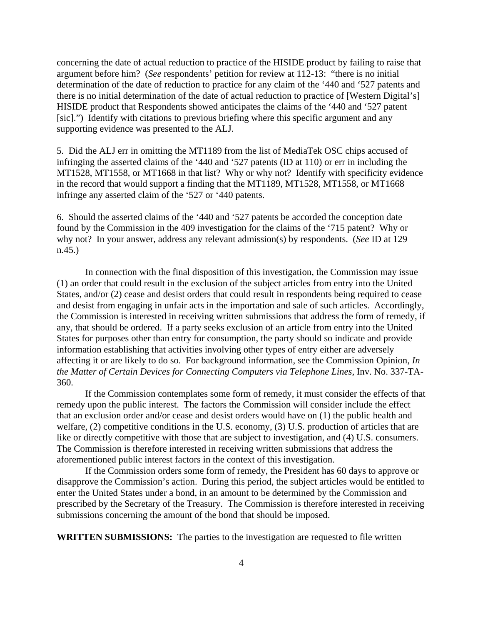concerning the date of actual reduction to practice of the HISIDE product by failing to raise that argument before him? (*See* respondents' petition for review at 112-13: "there is no initial determination of the date of reduction to practice for any claim of the '440 and '527 patents and there is no initial determination of the date of actual reduction to practice of [Western Digital's] HISIDE product that Respondents showed anticipates the claims of the '440 and '527 patent [sic].") Identify with citations to previous briefing where this specific argument and any supporting evidence was presented to the ALJ.

5. Did the ALJ err in omitting the MT1189 from the list of MediaTek OSC chips accused of infringing the asserted claims of the '440 and '527 patents (ID at 110) or err in including the MT1528, MT1558, or MT1668 in that list? Why or why not? Identify with specificity evidence in the record that would support a finding that the MT1189, MT1528, MT1558, or MT1668 infringe any asserted claim of the '527 or '440 patents.

6. Should the asserted claims of the '440 and '527 patents be accorded the conception date found by the Commission in the 409 investigation for the claims of the '715 patent? Why or why not? In your answer, address any relevant admission(s) by respondents. (*See* ID at 129 n.45.)

In connection with the final disposition of this investigation, the Commission may issue (1) an order that could result in the exclusion of the subject articles from entry into the United States, and/or (2) cease and desist orders that could result in respondents being required to cease and desist from engaging in unfair acts in the importation and sale of such articles. Accordingly, the Commission is interested in receiving written submissions that address the form of remedy, if any, that should be ordered. If a party seeks exclusion of an article from entry into the United States for purposes other than entry for consumption, the party should so indicate and provide information establishing that activities involving other types of entry either are adversely affecting it or are likely to do so. For background information, see the Commission Opinion, *In the Matter of Certain Devices for Connecting Computers via Telephone Lines*, Inv. No. 337-TA-360.

If the Commission contemplates some form of remedy, it must consider the effects of that remedy upon the public interest. The factors the Commission will consider include the effect that an exclusion order and/or cease and desist orders would have on (1) the public health and welfare, (2) competitive conditions in the U.S. economy, (3) U.S. production of articles that are like or directly competitive with those that are subject to investigation, and (4) U.S. consumers. The Commission is therefore interested in receiving written submissions that address the aforementioned public interest factors in the context of this investigation.

If the Commission orders some form of remedy, the President has 60 days to approve or disapprove the Commission's action. During this period, the subject articles would be entitled to enter the United States under a bond, in an amount to be determined by the Commission and prescribed by the Secretary of the Treasury. The Commission is therefore interested in receiving submissions concerning the amount of the bond that should be imposed.

**WRITTEN SUBMISSIONS:** The parties to the investigation are requested to file written